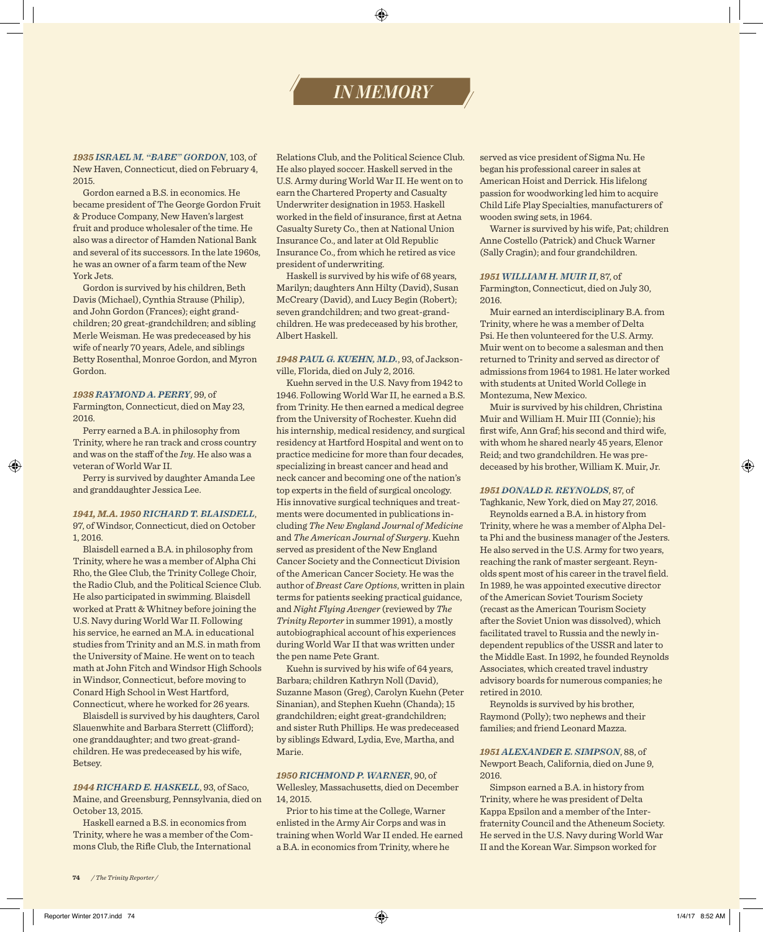# *IN MEMORY*

*1935 ISRAEL M. "BABE" GORDON*, 103, of New Haven, Connecticut, died on February 4, 2015.

Gordon earned a B.S. in economics. He became president of The George Gordon Fruit & Produce Company, New Haven's largest fruit and produce wholesaler of the time. He also was a director of Hamden National Bank and several of its successors. In the late 1960s, he was an owner of a farm team of the New York Jets.

Gordon is survived by his children, Beth Davis (Michael), Cynthia Strause (Philip), and John Gordon (Frances); eight grandchildren; 20 great-grandchildren; and sibling Merle Weisman. He was predeceased by his wife of nearly 70 years, Adele, and siblings Betty Rosenthal, Monroe Gordon, and Myron Gordon.

#### *1938 RAYMOND A. PERRY*, 99, of

Farmington, Connecticut, died on May 23, 2016.

Perry earned a B.A. in philosophy from Trinity, where he ran track and cross country and was on the staff of the *Ivy*. He also was a veteran of World War II.

Perry is survived by daughter Amanda Lee and granddaughter Jessica Lee.

#### *1941, M.A. 1950 RICHARD T. BLAISDELL*,

97, of Windsor, Connecticut, died on October 1, 2016.

Blaisdell earned a B.A. in philosophy from Trinity, where he was a member of Alpha Chi Rho, the Glee Club, the Trinity College Choir, the Radio Club, and the Political Science Club. He also participated in swimming. Blaisdell worked at Pratt & Whitney before joining the U.S. Navy during World War II. Following his service, he earned an M.A. in educational studies from Trinity and an M.S. in math from the University of Maine. He went on to teach math at John Fitch and Windsor High Schools in Windsor, Connecticut, before moving to Conard High School in West Hartford, Connecticut, where he worked for 26 years.

Blaisdell is survived by his daughters, Carol Slauenwhite and Barbara Sterrett (Clifford); one granddaughter; and two great-grandchildren. He was predeceased by his wife, Betsey.

# *1944 RICHARD E. HASKELL*, 93, of Saco,

Maine, and Greensburg, Pennsylvania, died on October 13, 2015.

Haskell earned a B.S. in economics from Trinity, where he was a member of the Commons Club, the Rifle Club, the International

Relations Club, and the Political Science Club. He also played soccer. Haskell served in the U.S. Army during World War II. He went on to earn the Chartered Property and Casualty Underwriter designation in 1953. Haskell worked in the field of insurance, first at Aetna Casualty Surety Co., then at National Union Insurance Co., and later at Old Republic Insurance Co., from which he retired as vice president of underwriting.

Haskell is survived by his wife of 68 years, Marilyn; daughters Ann Hilty (David), Susan McCreary (David), and Lucy Begin (Robert); seven grandchildren; and two great-grandchildren. He was predeceased by his brother, Albert Haskell.

# *1948 PAUL G. KUEHN, M.D.*, 93, of Jacksonville, Florida, died on July 2, 2016.

Kuehn served in the U.S. Navy from 1942 to 1946. Following World War II, he earned a B.S. from Trinity. He then earned a medical degree from the University of Rochester. Kuehn did his internship, medical residency, and surgical residency at Hartford Hospital and went on to practice medicine for more than four decades, specializing in breast cancer and head and neck cancer and becoming one of the nation's top experts in the field of surgical oncology. His innovative surgical techniques and treatments were documented in publications including *The New England Journal of Medicine* and *The American Journal of Surgery*. Kuehn served as president of the New England Cancer Society and the Connecticut Division of the American Cancer Society. He was the author of *Breast Care Options*, written in plain terms for patients seeking practical guidance, and *Night Flying Avenger* (reviewed by *The Trinity Reporter* in summer 1991), a mostly autobiographical account of his experiences during World War II that was written under the pen name Pete Grant.

Kuehn is survived by his wife of 64 years, Barbara; children Kathryn Noll (David), Suzanne Mason (Greg), Carolyn Kuehn (Peter Sinanian), and Stephen Kuehn (Chanda); 15 grandchildren; eight great-grandchildren; and sister Ruth Phillips. He was predeceased by siblings Edward, Lydia, Eve, Martha, and Marie.

#### *1950 RICHMOND P. WARNER*, 90, of

Wellesley, Massachusetts, died on December 14, 2015.

Prior to his time at the College, Warner enlisted in the Army Air Corps and was in training when World War II ended. He earned a B.A. in economics from Trinity, where he

served as vice president of Sigma Nu. He began his professional career in sales at American Hoist and Derrick. His lifelong passion for woodworking led him to acquire Child Life Play Specialties, manufacturers of wooden swing sets, in 1964.

Warner is survived by his wife, Pat; children Anne Costello (Patrick) and Chuck Warner (Sally Cragin); and four grandchildren.

# *1951 WILLIAM H. MUIR II*, 87, of

Farmington, Connecticut, died on July 30, 2016.

Muir earned an interdisciplinary B.A. from Trinity, where he was a member of Delta Psi. He then volunteered for the U.S. Army. Muir went on to become a salesman and then returned to Trinity and served as director of admissions from 1964 to 1981. He later worked with students at United World College in Montezuma, New Mexico.

Muir is survived by his children, Christina Muir and William H. Muir III (Connie); his first wife, Ann Graf; his second and third wife, with whom he shared nearly 45 years, Elenor Reid; and two grandchildren. He was predeceased by his brother, William K. Muir, Jr.

#### *1951 DONALD R. REYNOLDS*, 87, of

Taghkanic, New York, died on May 27, 2016.

Reynolds earned a B.A. in history from Trinity, where he was a member of Alpha Delta Phi and the business manager of the Jesters. He also served in the U.S. Army for two years, reaching the rank of master sergeant. Reynolds spent most of his career in the travel field. In 1989, he was appointed executive director of the American Soviet Tourism Society (recast as the American Tourism Society after the Soviet Union was dissolved), which facilitated travel to Russia and the newly independent republics of the USSR and later to the Middle East. In 1992, he founded Reynolds Associates, which created travel industry advisory boards for numerous companies; he retired in 2010.

Reynolds is survived by his brother, Raymond (Polly); two nephews and their families; and friend Leonard Mazza.

*1951 ALEXANDER E. SIMPSON*, 88, of Newport Beach, California, died on June 9, 2016.

Simpson earned a B.A. in history from Trinity, where he was president of Delta Kappa Epsilon and a member of the Interfraternity Council and the Atheneum Society. He served in the U.S. Navy during World War II and the Korean War. Simpson worked for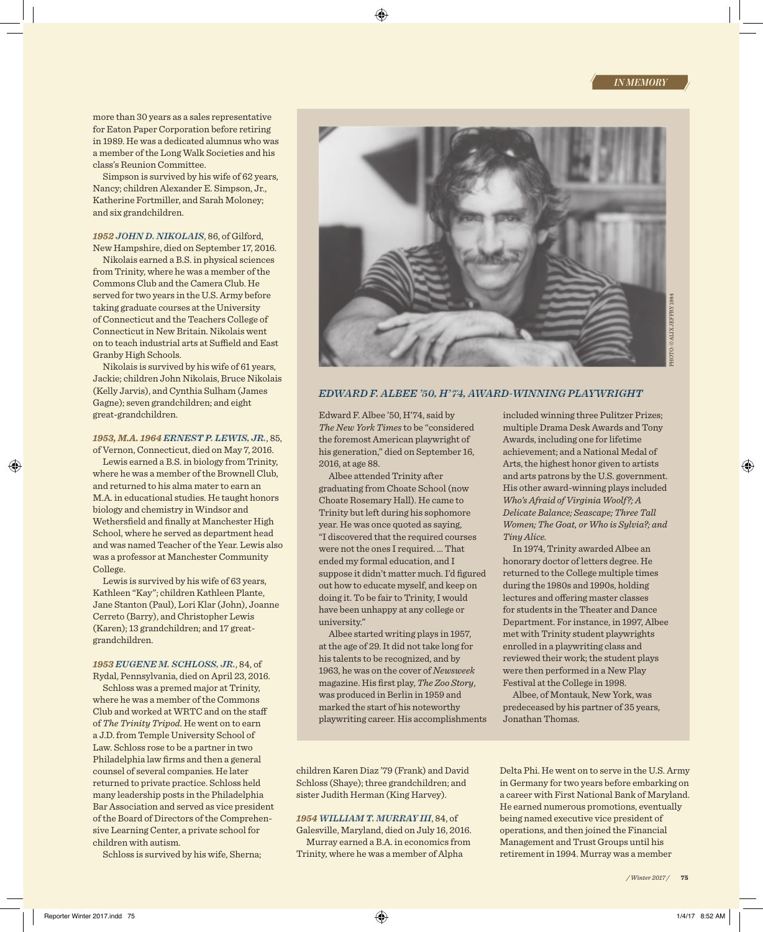more than 30 years as a sales representative for Eaton Paper Corporation before retiring in 1989. He was a dedicated alumnus who was a member of the Long Walk Societies and his class's Reunion Committee.

Simpson is survived by his wife of 62 years, Nancy; children Alexander E. Simpson, Jr., Katherine Fortmiller, and Sarah Moloney; and six grandchildren.

# *1952 JOHN D. NIKOLAIS*, 86, of Gilford,

New Hampshire, died on September 17, 2016. Nikolais earned a B.S. in physical sciences from Trinity, where he was a member of the Commons Club and the Camera Club. He served for two years in the U.S. Army before taking graduate courses at the University of Connecticut and the Teachers College of Connecticut in New Britain. Nikolais went on to teach industrial arts at Suffield and East Granby High Schools.

Nikolais is survived by his wife of 61 years, Jackie; children John Nikolais, Bruce Nikolais (Kelly Jarvis), and Cynthia Sulham (James Gagne); seven grandchildren; and eight great-grandchildren.

# *1953, M.A. 1964 ERNEST P. LEWIS, JR.*, 85,

of Vernon, Connecticut, died on May 7, 2016. Lewis earned a B.S. in biology from Trinity, where he was a member of the Brownell Club, and returned to his alma mater to earn an M.A. in educational studies. He taught honors biology and chemistry in Windsor and Wethersfield and finally at Manchester High School, where he served as department head and was named Teacher of the Year. Lewis also was a professor at Manchester Community College.

Lewis is survived by his wife of 63 years, Kathleen "Kay"; children Kathleen Plante, Jane Stanton (Paul), Lori Klar (John), Joanne Cerreto (Barry), and Christopher Lewis (Karen); 13 grandchildren; and 17 greatgrandchildren.

#### *1953 EUGENE M. SCHLOSS, JR.*, 84, of

Rydal, Pennsylvania, died on April 23, 2016. Schloss was a premed major at Trinity, where he was a member of the Commons Club and worked at WRTC and on the staff

of *The Trinity Tripod*. He went on to earn a J.D. from Temple University School of Law. Schloss rose to be a partner in two Philadelphia law firms and then a general counsel of several companies. He later returned to private practice. Schloss held many leadership posts in the Philadelphia Bar Association and served as vice president of the Board of Directors of the Comprehensive Learning Center, a private school for children with autism.

Schloss is survived by his wife, Sherna;



## *EDWARD F. ALBEE '50, H' 74, AWARD-WINNING PLAYWRIGHT*

Edward F. Albee '50, H'74, said by *The New York Times* to be "considered the foremost American playwright of his generation," died on September 16, 2016, at age 88.

Albee attended Trinity after graduating from Choate School (now Choate Rosemary Hall). He came to Trinity but left during his sophomore year. He was once quoted as saying, "I discovered that the required courses were not the ones I required. … That ended my formal education, and I suppose it didn't matter much. I'd figured out how to educate myself, and keep on doing it. To be fair to Trinity, I would have been unhappy at any college or university."

Albee started writing plays in 1957, at the age of 29. It did not take long for his talents to be recognized, and by 1963, he was on the cover of *Newsweek* magazine. His first play, *The Zoo Story*, was produced in Berlin in 1959 and marked the start of his noteworthy playwriting career. His accomplishments included winning three Pulitzer Prizes; multiple Drama Desk Awards and Tony Awards, including one for lifetime achievement; and a National Medal of Arts, the highest honor given to artists and arts patrons by the U.S. government. His other award-winning plays included *Who's Afraid of Virginia Woolf?; A Delicate Balance; Seascape; Three Tall Women; The Goat, or Who is Sylvia?; and Tiny Alice.*

In 1974, Trinity awarded Albee an honorary doctor of letters degree. He returned to the College multiple times during the 1980s and 1990s, holding lectures and offering master classes for students in the Theater and Dance Department. For instance, in 1997, Albee met with Trinity student playwrights enrolled in a playwriting class and reviewed their work; the student plays were then performed in a New Play Festival at the College in 1998.

Albee, of Montauk, New York, was predeceased by his partner of 35 years, Jonathan Thomas.

children Karen Diaz '79 (Frank) and David Schloss (Shaye); three grandchildren; and sister Judith Herman (King Harvey).

# *1954 WILLIAM T. MURRAY III*, 84, of

Galesville, Maryland, died on July 16, 2016. Murray earned a B.A. in economics from Trinity, where he was a member of Alpha

Delta Phi. He went on to serve in the U.S. Army in Germany for two years before embarking on a career with First National Bank of Maryland. He earned numerous promotions, eventually being named executive vice president of operations, and then joined the Financial Management and Trust Groups until his retirement in 1994. Murray was a member